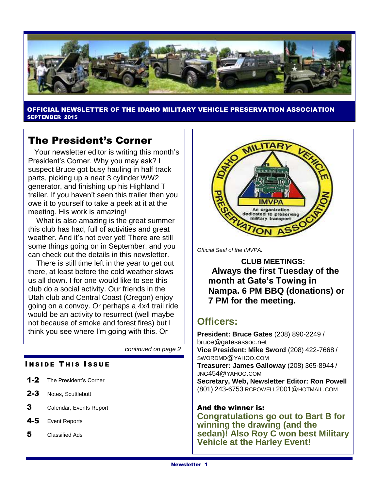

OFFICIAL NEWSLETTER OF THE IDAHO MILITARY VEHICLE PRESERVATION ASSOCIATION SEPTEMBER 2015

## The President's Corner

 Your newsletter editor is writing this month's President's Corner. Why you may ask? I suspect Bruce got busy hauling in half track parts, picking up a neat 3 cylinder WW2 generator, and finishing up his Highland T trailer. If you haven't seen this trailer then you owe it to yourself to take a peek at it at the meeting. His work is amazing!

 What is also amazing is the great summer this club has had, full of activities and great weather. And it's not over yet! There are still some things going on in September, and you can check out the details in this newsletter.

 There is still time left in the year to get out there, at least before the cold weather slows us all down. I for one would like to see this club do a social activity. Our friends in the Utah club and Central Coast (Oregon) enjoy going on a convoy. Or perhaps a 4x4 trail ride would be an activity to resurrect (well maybe not because of smoke and forest fires) but I think you see where I'm going with this. Or

*continued on page 2*

#### **INSIDE THIS ISSUE**

- 1-2 The President's Corner
- 2-3 Notes, Scuttlebutt
- 3 Calendar, Events Report
- 4-5 Event Reports
- 5 Classified Ads



*Official Seal of the IMVPA.*

**CLUB MEETINGS: Always the first Tuesday of the month at Gate's Towing in Nampa. 6 PM BBQ (donations) or 7 PM for the meeting.**

## **Officers:**

**President: Bruce Gates** (208) 890-2249 / bruce@gatesassoc.net **Vice President: Mike Sword** (208) 422-7668 / SWORDMD@YAHOO.COM **Treasurer: James Galloway** (208) 365-8944 / JNG454@YAHOO.COM **Secretary, Web, Newsletter Editor: Ron Powell**  (801) 243-6753 [RCPOWELL](mailto:rcpowell2001@hotmail.com)2001@HOTMAIL.COM

#### And the winner is:

**Congratulations go out to Bart B for winning the drawing (and the sedan)! Also Roy C won best Military Vehicle at the Harley Event!**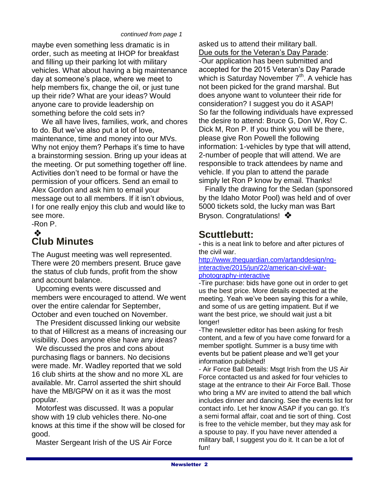#### *continued from page 1*

maybe even something less dramatic is in order, such as meeting at IHOP for breakfast and filling up their parking lot with military vehicles. What about having a big maintenance day at someone's place, where we meet to help members fix, change the oil, or just tune up their ride? What are your ideas? Would anyone care to provide leadership on something before the cold sets in?

 We all have lives, families, work, and chores to do. But we've also put a lot of love, maintenance, time and money into our MVs. Why not enjoy them? Perhaps it's time to have a brainstorming session. Bring up your ideas at the meeting. Or put something together off line. Activities don't need to be formal or have the permission of your officers. Send an email to Alex Gordon and ask him to email your message out to all members. If it isn't obvious, I for one really enjoy this club and would like to see more.

#### -Ron P. ❖

## **Club Minutes**

The August meeting was well represented. There were 20 members present. Bruce gave the status of club funds, profit from the show and account balance.

 Upcoming events were discussed and members were encouraged to attend. We went over the entire calendar for September, October and even touched on November.

 The President discussed linking our website to that of Hillcrest as a means of increasing our visibility. Does anyone else have any ideas?

 We discussed the pros and cons about purchasing flags or banners. No decisions were made. Mr. Wadley reported that we sold 16 club shirts at the show and no more XL are available. Mr. Carrol asserted the shirt should have the MB/GPW on it as it was the most popular.

 Motorfest was discussed. It was a popular show with 19 club vehicles there. No-one knows at this time if the show will be closed for good.

Master Sergeant Irish of the US Air Force

asked us to attend their military ball. Due outs for the Veteran's Day Parade:

-Our application has been submitted and accepted for the 2015 Veteran's Day Parade which is Saturday November 7<sup>th</sup>. A vehicle has not been picked for the grand marshal. But does anyone want to volunteer their ride for consideration? I suggest you do it ASAP! So far the following individuals have expressed the desire to attend: Bruce G, Don W, Roy C. Dick M, Ron P. If you think you will be there, please give Ron Powell the following information: 1-vehicles by type that will attend, 2-number of people that will attend. We are responsible to track attendees by name and vehicle. If you plan to attend the parade simply let Ron P know by email. Thanks!

 Finally the drawing for the Sedan (sponsored by the Idaho Motor Pool) was held and of over 5000 tickets sold, the lucky man was Bart Bryson. Congratulations! ❖

## **Scuttlebutt:**

**-** this is a neat link to before and after pictures of the civil war.

[http://www.theguardian.com/artanddesign/ng](http://www.theguardian.com/artanddesign/ng-interactive/2015/jun/22/american-civil-war-photography-interactive)[interactive/2015/jun/22/american-civil-war](http://www.theguardian.com/artanddesign/ng-interactive/2015/jun/22/american-civil-war-photography-interactive)[photography-interactive](http://www.theguardian.com/artanddesign/ng-interactive/2015/jun/22/american-civil-war-photography-interactive)

-Tire purchase: bids have gone out in order to get us the best price. More details expected at the meeting. Yeah we've been saying this for a while, and some of us are getting impatient. But if we want the best price, we should wait just a bit longer!

-The newsletter editor has been asking for fresh content, and a few of you have come forward for a member spotlight. Summer is a busy time with events but be patient please and we'll get your information published!

- Air Force Ball Details: Msgt Irish from the US Air Force contacted us and asked for four vehicles to stage at the entrance to their Air Force Ball. Those who bring a MV are invited to attend the ball which includes dinner and dancing. See the events list for contact info. Let her know ASAP if you can go. It's a semi formal affair, coat and tie sort of thing. Cost is free to the vehicle member, but they may ask for a spouse to pay. If you have never attended a military ball, I suggest you do it. It can be a lot of fun!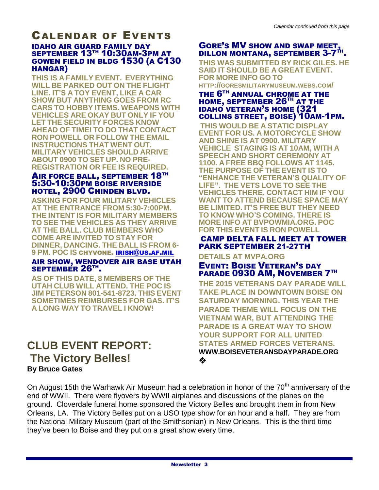#### CALENDAR OF EVENTS IDAHO AIR GUARD FAMILY DAY SEPTEMBER 13<sup>TH</sup> 10:30AM-3PM AT GOWEN FIELD IN BLDG 1530 (A C130 HANGAR)

**THIS IS A FAMILY EVENT. EVERYTHING WILL BE PARKED OUT ON THE FLIGHT LINE. IT'S A TOY EVENT, LIKE A CAR SHOW BUT ANYTHING GOES FROM RC CARS TO HOBBY ITEMS. WEAPONS WITH VEHICLES ARE OKAY BUT ONLY IF YOU LET THE SECURITY FORCES KNOW AHEAD OF TIME! TO DO THAT CONTACT RON POWELL OR FOLLOW THE EMAIL INSTRUCTIONS THAT WENT OUT. MILITARY VEHICLES SHOULD ARRIVE ABOUT 0900 TO SET UP. NO PRE-REGISTRATION OR FEE IS REQUIRED.**

#### AIR FORCE BALL, SEPTEMBER 18TH 5:30-10:30PM BOISE RIVERSIDE HOTEL, 2900 CHINDEN BLVD.

**ASKING FOR FOUR MILITARY VEHICLES AT THE ENTRANCE FROM 5:30-7:00PM. THE INTENT IS FOR MILITARY MEMBERS TO SEE THE VEHICLES AS THEY ARRIVE AT THE BALL. CLUB MEMBERS WHO COME ARE INVITED TO STAY FOR DINNER, DANCING. THE BALL IS FROM 6- 9 PM. POC IS** CHYVONE. [IRISH](mailto:irish@us.af.mil)@US.AF.MIL

#### AIR SHOW, WENDOVER AIR BASE UTAH SEPTEMBÉR 26TH.

**AS OF THIS DATE, 8 MEMBERS OF THE UTAH CLUB WILL ATTEND. THE POC IS JIM PETERSON 801-541-8723. THIS EVENT SOMETIMES REIMBURSES FOR GAS. IT'S A LONG WAY TO TRAVEL I KNOW!**

## **CLUB EVENT REPORT: The Victory Belles! By Bruce Gates**

#### GORE'S MV SHOW AND SWAP MEET, DILLON MONTANA, SEPTEMBER 3-7<sup>TH</sup>.

**THIS WAS SUBMITTED BY RICK GILES. HE SAID IT SHOULD BE A GREAT EVENT. FOR MORE INFO GO TO** 

**HTTP://GORESMILITARYMUSEUM.WEBS.COM/**

#### THE 6<sup>TH</sup> ANNUAL CHROME AT THE HOME, SEPTEMBER 26<sup>TH</sup> AT THE IDAHO VETERAN'S HOME (321 COLLINS STREET, BOISE) 10AM-1PM.

**THIS WOULD BE A STATIC DISPLAY EVENT FOR US. A MOTORCYCLE SHOW AND SHINE IS AT 0900. MILITARY VEHICLE STAGING IS AT 10AM, WITH A SPEECH AND SHORT CEREMONY AT 1100. A FREE BBQ FOLLOWS AT 1145. THE PURPOSE OF THE EVENT IS TO "ENHANCE THE VETERAN'S QUALITY OF LIFE". THE VETS LOVE TO SEE THE VEHICLES THERE. CONTACT HIM IF YOU WANT TO ATTEND BECAUSE SPACE MAY BE LIMITED. IT'S FREE BUT THEY NEED TO KNOW WHO'S COMING. THERE IS MORE INFO AT BVPOWMIA.ORG. POC FOR THIS EVENT IS RON POWELL**

#### CAMP DELTA FALL MEET AT TOWER PARK SEPTEMBER 21-27TH

#### **DETAILS AT MVPA.ORG**

#### EVENT: BOISE VETERAN'S DAY PARADE 0930 AM, NOVEMBER 7TH

**THE 2015 VETERANS DAY PARADE WILL TAKE PLACE IN DOWNTOWN BOISE ON SATURDAY MORNING. THIS YEAR THE PARADE THEME WILL FOCUS ON THE VIETNAM WAR, BUT ATTENDING THE PARADE IS A GREAT WAY TO SHOW YOUR SUPPORT FOR ALL UNITED STATES ARMED FORCES VETERANS. WWW.BOISEVETERANSDAYPARADE.ORG** ❖

On August 15th the Warhawk Air Museum had a celebration in honor of the  $70<sup>th</sup>$  anniversary of the end of WWII. There were flyovers by WWII airplanes and discussions of the planes on the ground. Cloverdale funeral home sponsored the Victory Belles and brought them in from New Orleans, LA. The Victory Belles put on a USO type show for an hour and a half. They are from the National Military Museum (part of the Smithsonian) in New Orleans. This is the third time they've been to Boise and they put on a great show every time.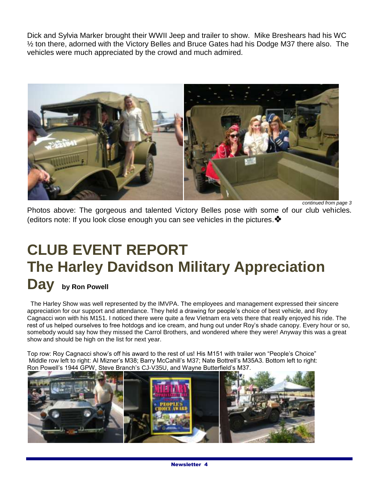Dick and Sylvia Marker brought their WWII Jeep and trailer to show. Mike Breshears had his WC ½ ton there, adorned with the Victory Belles and Bruce Gates had his Dodge M37 there also. The vehicles were much appreciated by the crowd and much admired.



*continued from page 3* Photos above: The gorgeous and talented Victory Belles pose with some of our club vehicles. (editors note: If you look close enough you can see vehicles in the pictures.

# **CLUB EVENT REPORT The Harley Davidson Military Appreciation Day by Ron Powell**

 The Harley Show was well represented by the IMVPA. The employees and management expressed their sincere appreciation for our support and attendance. They held a drawing for people's choice of best vehicle, and Roy Cagnacci won with his M151. I noticed there were quite a few Vietnam era vets there that really enjoyed his ride. The rest of us helped ourselves to free hotdogs and ice cream, and hung out under Roy's shade canopy. Every hour or so, somebody would say how they missed the Carrol Brothers, and wondered where they were! Anyway this was a great show and should be high on the list for next year.

Top row: Roy Cagnacci show's off his award to the rest of us! His M151 with trailer won "People's Choice" Middle row left to right: Al Mizner's M38; Barry McCahill's M37; Nate Bottrell's M35A3. Bottom left to right: Ron Powell's 1944 GPW, Steve Branch's CJ-V35U, and Wayne Butterfield's M37.